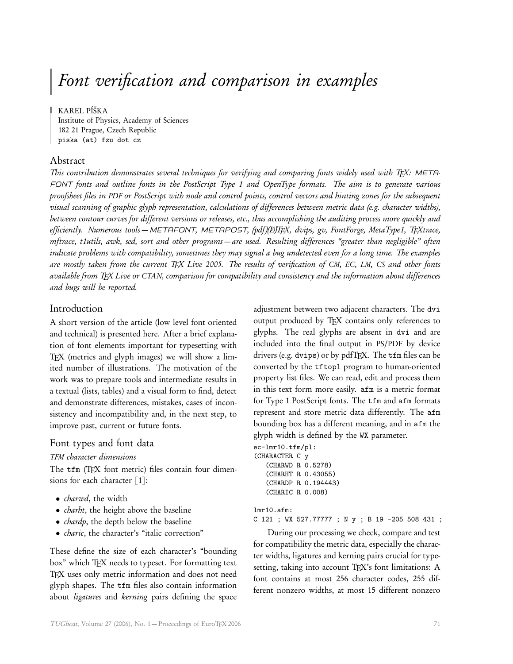# Font verification and comparison in examples

KAREL PÍŠKA

Institute of Physics, Academy of Sciences 182 21 Prague, Czech Republic piska (at) fzu dot cz

#### Abstract

This contribution demonstrates several techniques for verifying and comparing fonts widely used with TFX: META-FONT fonts and outline fonts in the PostScript Type 1 and OpenType formats. The aim is to generate various proofsheet files in PDF or PostScript with node and control points, control vectors and hinting zones for the subsequent visual scanning of graphic glyph representation, calculations of differences between metric data (e.g. character widths), between contour curves for different versions or releases, etc., thus accomplishing the auditing process more quickly and efficiently. Numerous tools – METAFONT, METAPOST, (pdf)(L!)TEX, dvips, gv, FontForge, MetaType1, TEXtrace, mftrace, t1utils, awk, sed, sort and other programs — are used. Resulting differences "greater than negligible" often indicate problems with compatibility, sometimes they may signal a bug undetected even for a long time. The examples are mostly taken from the current TEX Live 2005. The results of verification of CM, EC, LM, CS and other fonts available from TEX Live or CTAN, comparison for compatibility and consistency and the information about differences and bugs will be reported.

#### Introduction

A short version of the article (low level font oriented and technical) is presented here. After a brief explanation of font elements important for typesetting with TEX (metrics and glyph images) we will show a limited number of illustrations. The motivation of the work was to prepare tools and intermediate results in a textual (lists, tables) and a visual form to find, detect and demonstrate differences, mistakes, cases of inconsistency and incompatibility and, in the next step, to improve past, current or future fonts.

## Font types and font data

TFM character dimensions

The tfm (TFX font metric) files contain four dimensions for each character [1]:

- *charwd*, the width
- *charht*, the height above the baseline
- *chardp*, the depth below the baseline
- charic, the character's "italic correction"

These define the size of each character's "bounding box" which TFX needs to typeset. For formatting text TEX uses only metric information and does not need glyph shapes. The tfm files also contain information about *ligatures* and *kerning* pairs defining the space adjustment between two adjacent characters. The dvi output produced by TEX contains only references to glyphs. The real glyphs are absent in dvi and are included into the final output in PS/PDF by device drivers (e.g. dvips) or by pdfTFX. The tfm files can be converted by the tftopl program to human-oriented property list files. We can read, edit and process them in this text form more easily. afm is a metric format for Type 1 PostScript fonts. The tfm and afm formats represent and store metric data differently. The afm bounding box has a different meaning, and in afm the glyph width is defined by the WX parameter.

```
ec-lmr10.tfm/pl:
(CHARACTER C y
   (CHARWD R 0.5278)
   (CHARHT R 0.43055)
   (CHARDP R 0.194443)
   (CHARIC R 0.008)
```
lmr10.afm:

C 121 ; WX 527.77777 ; N y ; B 19 -205 508 431 ;

During our processing we check, compare and test for compatibility the metric data, especially the character widths, ligatures and kerning pairs crucial for typesetting, taking into account TEX's font limitations: A font contains at most 256 character codes, 255 different nonzero widths, at most 15 different nonzero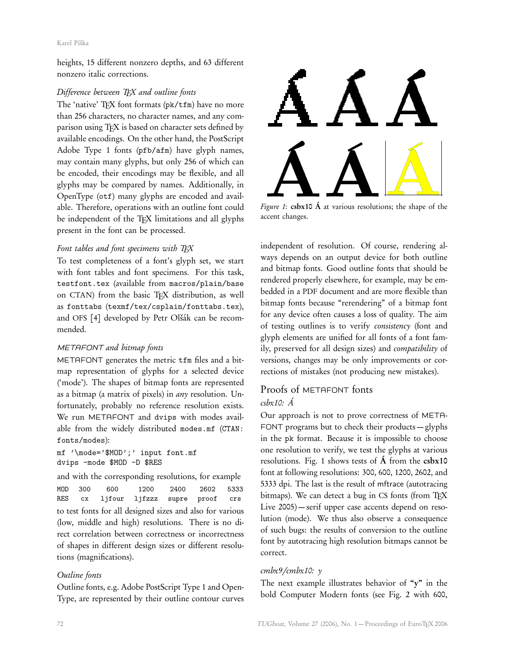#### Karel Píška

heights, 15 different nonzero depths, and 63 different nonzero italic corrections.

### Difference between TEX and outline fonts

The 'native' TEX font formats (pk/tfm) have no more than 256 characters, no character names, and any comparison using TFX is based on character sets defined by available encodings. On the other hand, the PostScript Adobe Type 1 fonts (pfb/afm) have glyph names, may contain many glyphs, but only 256 of which can be encoded, their encodings may be flexible, and all glyphs may be compared by names. Additionally, in OpenType (otf) many glyphs are encoded and available. Therefore, operations with an outline font could be independent of the TEX limitations and all glyphs present in the font can be processed.

## Font tables and font specimens with TEX

To test completeness of a font's glyph set, we start with font tables and font specimens. For this task, testfont.tex (available from macros/plain/base on CTAN) from the basic TEX distribution, as well as fonttabs (texmf/tex/csplain/fonttabs.tex), and OFS [4] developed by Petr Olšák can be recommended.

## METAFONT and bitmap fonts

METAFONT generates the metric tfm files and a bitmap representation of glyphs for a selected device ('mode'). The shapes of bitmap fonts are represented as a bitmap (a matrix of pixels) in any resolution. Unfortunately, probably no reference resolution exists. We run METAFONT and dvips with modes available from the widely distributed modes.mf (CTAN: fonts/modes):

mf '\mode='\$MOD';' input font.mf dvips -mode \$MOD -D \$RES

and with the corresponding resolutions, for example MOD 300 600 1200 2400 2602 5333 RES cx ljfour ljfzzz supre proof crs to test fonts for all designed sizes and also for various (low, middle and high) resolutions. There is no direct correlation between correctness or incorrectness of shapes in different design sizes or different resolutions (magnifications).

## Outline fonts

Outline fonts, e.g. Adobe PostScript Type 1 and Open-Type, are represented by their outline contour curves



Figure 1:  $csbx10$   $\AA$  at various resolutions; the shape of the accent changes.

independent of resolution. Of course, rendering always depends on an output device for both outline and bitmap fonts. Good outline fonts that should be rendered properly elsewhere, for example, may be embedded in a PDF document and are more flexible than bitmap fonts because "rerendering" of a bitmap font for any device often causes a loss of quality. The aim of testing outlines is to verify consistency (font and glyph elements are unified for all fonts of a font family, preserved for all design sizes) and compatibility of versions, changes may be only improvements or corrections of mistakes (not producing new mistakes).

# Proofs of METAFONT fonts csbx10: Á

Our approach is not to prove correctness of META-FONT programs but to check their products — glyphs in the pk format. Because it is impossible to choose one resolution to verify, we test the glyphs at various resolutions. Fig. 1 shows tests of  $\acute{A}$  from the  $csbx10$ font at following resolutions: 300, 600, 1200, 2602, and 5333 dpi. The last is the result of mftrace (autotracing bitmaps). We can detect a bug in CS fonts (from TEX Live 2005) — serif upper case accents depend on resolution (mode). We thus also observe a consequence of such bugs: the results of conversion to the outline font by autotracing high resolution bitmaps cannot be correct.

#### cmbx9*/*cmbx10: y

The next example illustrates behavior of "y" in the bold Computer Modern fonts (see Fig. 2 with 600,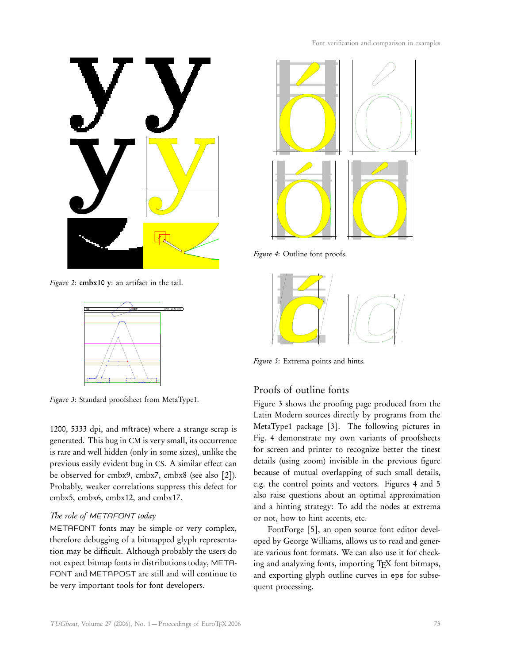

Figure 2: cmbx10 y: an artifact in the tail.



Figure 3: Standard proofsheet from MetaType1.

1200, 5333 dpi, and mftrace) where a strange scrap is generated. This bug in CM is very small, its occurrence is rare and well hidden (only in some sizes), unlike the previous easily evident bug in CS. A similar effect can be observed for cmbx9, cmbx7, cmbx8 (see also [2]). Probably, weaker correlations suppress this defect for cmbx5, cmbx6, cmbx12, and cmbx17.

#### The role of METAFONT today

METAFONT fonts may be simple or very complex, therefore debugging of a bitmapped glyph representation may be difficult. Although probably the users do not expect bitmap fonts in distributions today, META-FONT and METAPOST are still and will continue to be very important tools for font developers.

![](_page_2_Figure_8.jpeg)

Figure 4: Outline font proofs.

![](_page_2_Figure_10.jpeg)

Figure 5: Extrema points and hints.

#### Proofs of outline fonts

Figure 3 shows the proofing page produced from the Latin Modern sources directly by programs from the MetaType1 package [3]. The following pictures in Fig. 4 demonstrate my own variants of proofsheets for screen and printer to recognize better the tinest details (using zoom) invisible in the previous figure because of mutual overlapping of such small details, e.g. the control points and vectors. Figures 4 and 5 also raise questions about an optimal approximation and a hinting strategy: To add the nodes at extrema or not, how to hint accents, etc.

FontForge [5], an open source font editor developed by George Williams, allows us to read and generate various font formats. We can also use it for checking and analyzing fonts, importing TFX font bitmaps, and exporting glyph outline curves in eps for subsequent processing.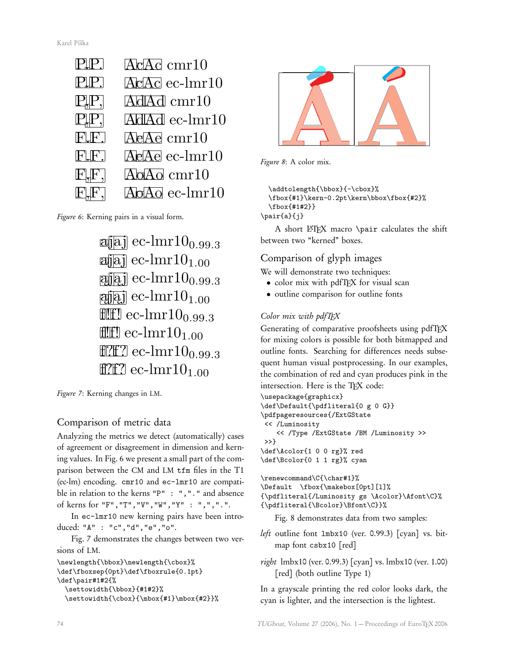![](_page_3_Figure_1.jpeg)

Figure 6: Kerning pairs in a visual form.

![](_page_3_Figure_3.jpeg)

Figure 7: Kerning changes in LM.

# Comparison of metric data

Analyzing the metrics we detect (automatically) cases of agreement or disagreement in dimension and kerning values. In Fig. 6 we present a small part of the comparison between the CM and LM tfm files in the T1 (ec-lm) encoding. cmr10 and ec-lmr10 are compatible in relation to the kerns "P" : ","." and absence of kerns for "F","T","V","W","Y" : ",",".".

In ec-lmr10 new kerning pairs have been introduced: "A" : "c","d","e","o".

Fig. 7 demonstrates the changes between two versions of LM.

```
\newlength{\bbox}\newlength{\cbox}%
\def\fboxsep{0pt}\def\fboxrule{0.1pt}
\def\pair#1#2{%
  \settowidth{\bbox}{#1#2}%
  \settowidth{\cbox}{\mbox{#1}\mbox{#2}}%
```
![](_page_3_Picture_10.jpeg)

```
\addtolength{\bbox}{-\cbox}%
  \fbox{#1}\kern-0.2pt\kern\bbox\fbox{#2}%
  \fbox{#1#2}}
\pair{a}{j}
```
A short LATEX macro \pair calculates the shift between two "kerned" boxes.

# Comparison of glyph images

We will demonstrate two techniques:

- color mix with pdfTEX for visual scan
- outline comparison for outline fonts

# Color mix with pdfTFX

Generating of comparative proofsheets using pdfTEX for mixing colors is possible for both bitmapped and outline fonts. Searching for differences needs subsequent human visual postprocessing. In our examples, the combination of red and cyan produces pink in the intersection. Here is the TFX code:

```
\usepackage{graphicx}
\def\Default{\pdfliteral{0 g 0 G}}
\pdfpageresources{/ExtGState
<< /Luminosity
   << /Type /ExtGState /BM /Luminosity >>
>>}
\def\Acolor{1 0 0 rg}% red
```

```
\def\Bcolor{0 1 1 rg}% cyan
```
\renewcommand\C{\char#1}% \Default \fbox{\makebox[0pt][l]% {\pdfliteral{/Luminosity gs \Acolor}\Afont\C}%

```
{\pdfliteral{\Bcolor}\Bfont\C}}%
```
Fig. 8 demonstrates data from two samples:

- left outline font lmbx10 (ver. 0.99.3) [cyan] vs. bitmap font csbx10 [red]
- right lmbx10 (ver. 0.99.3) [cyan] vs. lmbx10 (ver. 1.00) [red] (both outline Type 1)

In a grayscale printing the red color looks dark, the cyan is lighter, and the intersection is the lightest.